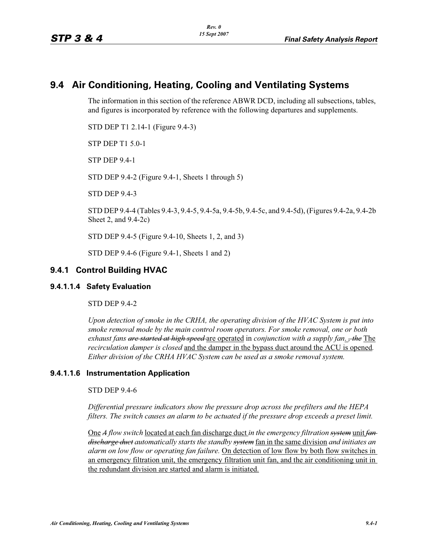# **9.4 Air Conditioning, Heating, Cooling and Ventilating Systems**

The information in this section of the reference ABWR DCD, including all subsections, tables, and figures is incorporated by reference with the following departures and supplements.

STD DEP T1 2.14-1 (Figure 9.4-3)

STP DEP T1 5.0-1

STP DEP 9.4-1

STD DEP 9.4-2 (Figure 9.4-1, Sheets 1 through 5)

STD DEP 9.4-3

STD DEP 9.4-4 (Tables 9.4-3, 9.4-5, 9.4-5a, 9.4-5b, 9.4-5c, and 9.4-5d), (Figures 9.4-2a, 9.4-2b Sheet 2, and 9.4-2c)

STD DEP 9.4-5 (Figure 9.4-10, Sheets 1, 2, and 3)

STD DEP 9.4-6 (Figure 9.4-1, Sheets 1 and 2)

## **9.4.1 Control Building HVAC**

#### **9.4.1.1.4 Safety Evaluation**

STD DEP 9.4-2

*Upon detection of smoke in the CRHA, the operating division of the HVAC System is put into smoke removal mode by the main control room operators. For smoke removal, one or both exhaust fans are started at high speed* are operated in *conjunction with a supply fan*. *, the* The *recirculation damper is closed* and the damper in the bypass duct around the ACU is opened*. Either division of the CRHA HVAC System can be used as a smoke removal system.*

#### **9.4.1.1.6 Instrumentation Application**

STD DEP 9.4-6

*Differential pressure indicators show the pressure drop across the prefilters and the HEPA filters. The switch causes an alarm to be actuated if the pressure drop exceeds a preset limit.* 

One *A flow switch* located at each fan discharge duct *in the emergency filtration system* unit *fan discharge duct automatically starts the standby system* fan in the same division *and initiates an alarm on low flow or operating fan failure.* On detection of low flow by both flow switches in an emergency filtration unit, the emergency filtration unit fan, and the air conditioning unit in the redundant division are started and alarm is initiated.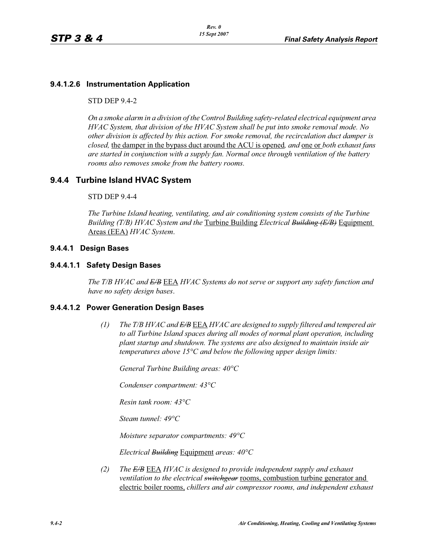### **9.4.1.2.6 Instrumentation Application**

#### STD DEP 9.4-2

*On a smoke alarm in a division of the Control Building safety-related electrical equipment area HVAC System, that division of the HVAC System shall be put into smoke removal mode. No other division is affected by this action. For smoke removal, the recirculation duct damper is closed,* the damper in the bypass duct around the ACU is opened*, and* one or *both exhaust fans are started in conjunction with a supply fan. Normal once through ventilation of the battery rooms also removes smoke from the battery rooms.*

## **9.4.4 Turbine Island HVAC System**

#### STD DEP 9.4-4

*The Turbine Island heating, ventilating, and air conditioning system consists of the Turbine Building (T/B) HVAC System and the* Turbine Building *Electrical Building (E/B)* Equipment Areas (EEA) *HVAC System*.

#### **9.4.4.1 Design Bases**

#### **9.4.4.1.1 Safety Design Bases**

*The T/B HVAC and E/B* EEA *HVAC Systems do not serve or support any safety function and have no safety design bases*.

#### **9.4.4.1.2 Power Generation Design Bases**

*(1) The T/B HVAC and E/B* EEA *HVAC are designed to supply filtered and tempered air to all Turbine Island spaces during all modes of normal plant operation, including plant startup and shutdown. The systems are also designed to maintain inside air temperatures above 15°C and below the following upper design limits:*

*General Turbine Building areas: 40°C*

*Condenser compartment: 43°C*

*Resin tank room: 43°C*

*Steam tunnel: 49°C*

*Moisture separator compartments: 49°C*

*Electrical Building* Equipment *areas: 40°C*

*(2) The E/B* EEA *HVAC is designed to provide independent supply and exhaust ventilation to the electrical switchgear* rooms, combustion turbine generator and electric boiler rooms, *chillers and air compressor rooms, and independent exhaust*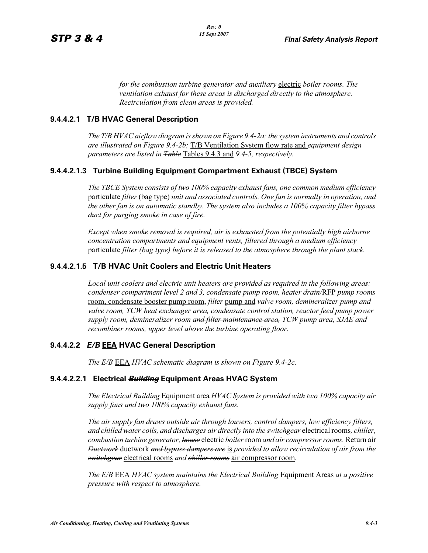*for the combustion turbine generator and auxiliary* electric *boiler rooms. The ventilation exhaust for these areas is discharged directly to the atmosphere. Recirculation from clean areas is provided.*

### **9.4.4.2.1 T/B HVAC General Description**

*The T/B HVAC airflow diagram is shown on Figure 9.4-2a; the system instruments and controls are illustrated on Figure 9.4-2b;* T/B Ventilation System flow rate and *equipment design parameters are listed in Table* Tables 9.4.3 and *9.4-5, respectively.*

### **9.4.4.2.1.3 Turbine Building Equipment Compartment Exhaust (TBCE) System**

*The TBCE System consists of two 100% capacity exhaust fans, one common medium efficiency*  particulate *filter* (bag type) *unit and associated controls. One fan is normally in operation, and the other fan is on automatic standby. The system also includes a 100% capacity filter bypass duct for purging smoke in case of fire.*

*Except when smoke removal is required, air is exhausted from the potentially high airborne concentration compartments and equipment vents, filtered through a medium efficiency* particulate *filter (bag type) before it is released to the atmosphere through the plant stack.*

### **9.4.4.2.1.5 T/B HVAC Unit Coolers and Electric Unit Heaters**

*Local unit coolers and electric unit heaters are provided as required in the following areas: condenser compartment level 2 and 3, condensate pump room, heater drain/*RFP *pump rooms* room, condensate booster pump room, *filter* pump and *valve room, demineralizer pump and valve room, TCW heat exchanger area, condensate control station, reactor feed pump power supply room, demineralizer room and filter maintenance area, TCW pump area, SJAE and recombiner rooms, upper level above the turbine operating floor.*

### **9.4.4.2.2** *E/B* **EEA HVAC General Description**

*The E/B* EEA *HVAC schematic diagram is shown on Figure 9.4-2c.*

#### **9.4.4.2.2.1 Electrical** *Building* **Equipment Areas HVAC System**

*The Electrical Building* Equipment area *HVAC System is provided with two 100% capacity air supply fans and two 100% capacity exhaust fans.*

*The air supply fan draws outside air through louvers, control dampers, low efficiency filters, and chilled water coils, and discharges air directly into the switchgear* electrical rooms*, chiller, combustion turbine generator, house* electric *boiler* room *and air compressor rooms.* Return air *Ductwork* ductwork *and bypass dampers are* is *provided to allow recirculation of air from the switchgear* electrical rooms *and chiller rooms* air compressor room.

*The E/B* EEA *HVAC system maintains the Electrical Building* Equipment Areas *at a positive pressure with respect to atmosphere.*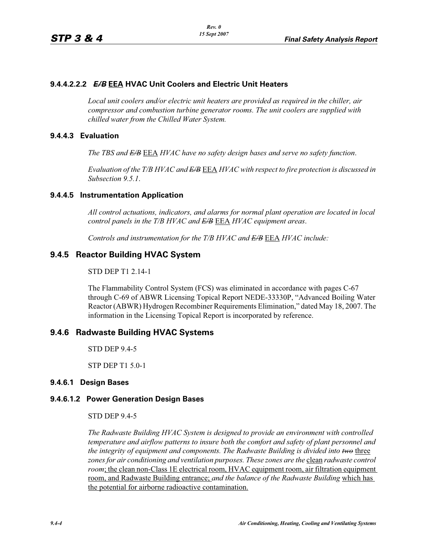### **9.4.4.2.2.2** *E/B* **EEA HVAC Unit Coolers and Electric Unit Heaters**

*Local unit coolers and/or electric unit heaters are provided as required in the chiller, air compressor and combustion turbine generator rooms. The unit coolers are supplied with chilled water from the Chilled Water System.*

#### **9.4.4.3 Evaluation**

*The TBS and E/B* EEA *HVAC have no safety design bases and serve no safety function*.

*Evaluation of the T/B HVAC and E/B* EEA *HVAC with respect to fire protection is discussed in Subsection 9.5.1*.

### **9.4.4.5 Instrumentation Application**

*All control actuations, indicators, and alarms for normal plant operation are located in local control panels in the T/B HVAC and E/B* EEA *HVAC equipment areas*.

*Controls and instrumentation for the T/B HVAC and E/B* EEA *HVAC include:*

### **9.4.5 Reactor Building HVAC System**

#### STD DEP T1 2.14-1

The Flammability Control System (FCS) was eliminated in accordance with pages C-67 through C-69 of ABWR Licensing Topical Report NEDE-33330P, "Advanced Boiling Water Reactor (ABWR) Hydrogen Recombiner Requirements Elimination," dated May 18, 2007. The information in the Licensing Topical Report is incorporated by reference.

#### **9.4.6 Radwaste Building HVAC Systems**

STD DEP 9.4-5

STP DEP T1 5.0-1

#### **9.4.6.1 Design Bases**

#### **9.4.6.1.2 Power Generation Design Bases**

STD DEP 9.4-5

*The Radwaste Building HVAC System is designed to provide an environment with controlled temperature and airflow patterns to insure both the comfort and safety of plant personnel and the integrity of equipment and components. The Radwaste Building is divided into <del>two</del> three zones for air conditioning and ventilation purposes. These zones are the clean radwaste control room*; the clean non-Class 1E electrical room, HVAC equipment room, air filtration equipment room, and Radwaste Building entrance; *and the balance of the Radwaste Building* which has the potential for airborne radioactive contamination.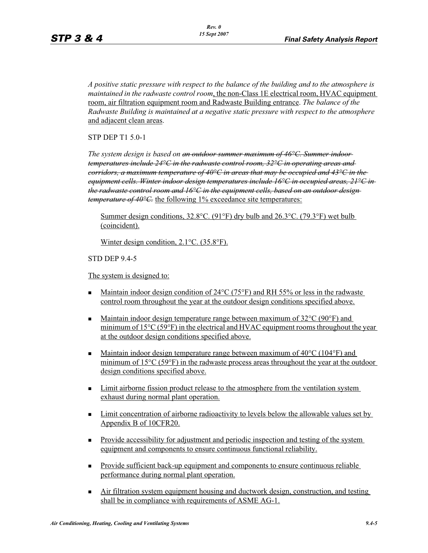*A positive static pressure with respect to the balance of the building and to the atmosphere is maintained in the radwaste control room*, the non-Class 1E electrical room, HVAC equipment room, air filtration equipment room and Radwaste Building entrance. *The balance of the Radwaste Building is maintained at a negative static pressure with respect to the atmosphere* and adjacent clean areas.

STP DEP T1 5.0-1

*The system design is based on an outdoor summer maximum of 46°C. Summer indoor temperatures include 24°C in the radwaste control room, 32°C in operating areas and corridors, a maximum temperature of 40°C in areas that may be occupied and 43°C in the equipment cells. Winter indoor design temperatures include 16°C in occupied areas, 21°C in the radwaste control room and 16°C in the equipment cells, based on an outdoor design temperature of 40°C*. the following 1% exceedance site temperatures:

Summer design conditions,  $32.8^{\circ}$ C. (91°F) dry bulb and  $26.3^{\circ}$ C. (79.3°F) wet bulb (coincident).

Winter design condition, 2.1°C. (35.8°F).

STD DEP 9.4-5

The system is designed to:

- - Maintain indoor design condition of 24°C (75°F) and RH 55% or less in the radwaste control room throughout the year at the outdoor design conditions specified above.
- -Maintain indoor design temperature range between maximum of 32<sup>o</sup>C (90<sup>o</sup>F) and minimum of 15°C (59°F) in the electrical and HVAC equipment rooms throughout the year at the outdoor design conditions specified above.
- -Maintain indoor design temperature range between maximum of 40<sup>o</sup>C (104<sup>o</sup>F) and minimum of 15°C (59°F) in the radwaste process areas throughout the year at the outdoor design conditions specified above.
- **I\_imit airborne fission product release to the atmosphere from the ventilation system** exhaust during normal plant operation.
- **Example 1** Limit concentration of airborne radioactivity to levels below the allowable values set by Appendix B of 10CFR20.
- Provide accessibility for adjustment and periodic inspection and testing of the system equipment and components to ensure continuous functional reliability.
- - Provide sufficient back-up equipment and components to ensure continuous reliable performance during normal plant operation.
- Air filtration system equipment housing and ductwork design, construction, and testing shall be in compliance with requirements of ASME AG-1.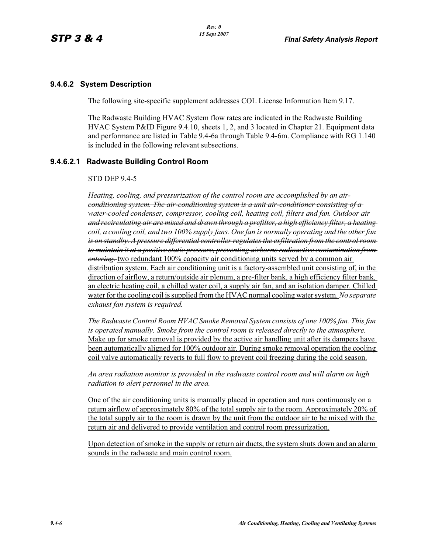### **9.4.6.2 System Description**

The following site-specific supplement addresses COL License Information Item 9.17.

The Radwaste Building HVAC System flow rates are indicated in the Radwaste Building HVAC System P&ID Figure 9.4.10, sheets 1, 2, and 3 located in Chapter 21. Equipment data and performance are listed in Table 9.4-6a through Table 9.4-6m. Compliance with RG 1.140 is included in the following relevant subsections.

#### **9.4.6.2.1 Radwaste Building Control Room**

#### STD DEP 9.4-5

*Heating, cooling, and pressurization of the control room are accomplished by an airconditioning system. The air-conditioning system is a unit air-conditioner consisting of a water-cooled condenser, compressor, cooling coil, heating coil, filters and fan. Outdoor air and recirculating air are mixed and drawn through a prefilter, a high efficiency filter, a heating coil, a cooling coil, and two 100% supply fans. One fan is normally operating and the other fan is on standby. A pressure differential controller regulates the exfiltration from the control room to maintain it at a positive static pressure, preventing airborne radioactive contamination from entering.* two redundant 100% capacity air conditioning units served by a common air distribution system. Each air conditioning unit is a factory-assembled unit consisting of, in the direction of airflow, a return/outside air plenum, a pre-filter bank, a high efficiency filter bank, an electric heating coil, a chilled water coil, a supply air fan, and an isolation damper. Chilled water for the cooling coil is supplied from the HVAC normal cooling water system. *No separate exhaust fan system is required.*

*The Radwaste Control Room HVAC Smoke Removal System consists of one 100% fan. This fan is operated manually. Smoke from the control room is released directly to the atmosphere.*  Make up for smoke removal is provided by the active air handling unit after its dampers have been automatically aligned for 100% outdoor air. During smoke removal operation the cooling coil valve automatically reverts to full flow to prevent coil freezing during the cold season.

*An area radiation monitor is provided in the radwaste control room and will alarm on high radiation to alert personnel in the area.*

One of the air conditioning units is manually placed in operation and runs continuously on a return airflow of approximately 80% of the total supply air to the room. Approximately 20% of the total supply air to the room is drawn by the unit from the outdoor air to be mixed with the return air and delivered to provide ventilation and control room pressurization.

Upon detection of smoke in the supply or return air ducts, the system shuts down and an alarm sounds in the radwaste and main control room.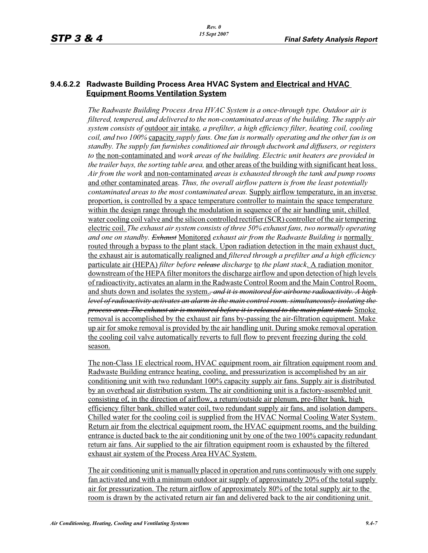### **9.4.6.2.2 Radwaste Building Process Area HVAC System and Electrical and HVAC Equipment Rooms Ventilation System**

*The Radwaste Building Process Area HVAC System is a once-through type. Outdoor air is filtered, tempered, and delivered to the non-contaminated areas of the building. The supply air system consists of* outdoor air intake*, a prefilter, a high efficiency filter, heating coil, cooling coil, and two 100%* capacity *supply fans. One fan is normally operating and the other fan is on standby. The supply fan furnishes conditioned air through ductwork and diffusers, or registers to* the non-contaminated and *work areas of the building. Electric unit heaters are provided in the trailer bays, the sorting table area,* and other areas of the building with significant heat loss. *Air from the work* and non-contaminated *areas is exhausted through the tank and pump rooms* and other contaminated areas. *Thus, the overall airflow pattern is from the least potentially contaminated areas to the most contaminated areas.* Supply airflow temperature, in an inverse proportion, is controlled by a space temperature controller to maintain the space temperature within the design range through the modulation in sequence of the air handling unit, chilled water cooling coil valve and the silicon controlled rectifier (SCR) controller of the air tempering electric coil. *The exhaust air system consists of three 50% exhaust fans, two normally operating and one on standby. Exhaust* Monitored *exhaust air from the Radwaste Building is* normally routed through a bypass to the plant stack. Upon radiation detection in the main exhaust duct, the exhaust air is automatically realigned and *filtered through a prefilter and a high efficiency*  particulate air (HEPA) *filter before release discharge* to *the plant stack*. A radiation monitor downstream of the HEPA filter monitors the discharge airflow and upon detection of high levels of radioactivity, activates an alarm in the Radwaste Control Room and the Main Control Room, and shuts down and isolates the system.*, and it is monitored for airborne radioactivity. A high level of radioactivity activates an alarm in the main control room. simultaneously isolating the process area. The exhaust air is monitored before it is released to the main plant stack.* Smoke removal is accomplished by the exhaust air fans by-passing the air-filtration equipment. Make up air for smoke removal is provided by the air handling unit. During smoke removal operation the cooling coil valve automatically reverts to full flow to prevent freezing during the cold season.

The non-Class 1E electrical room, HVAC equipment room, air filtration equipment room and Radwaste Building entrance heating, cooling, and pressurization is accomplished by an air conditioning unit with two redundant 100% capacity supply air fans. Supply air is distributed by an overhead air distribution system. The air conditioning unit is a factory-assembled unit consisting of, in the direction of airflow, a return/outside air plenum, pre-filter bank, high efficiency filter bank, chilled water coil, two redundant supply air fans, and isolation dampers. Chilled water for the cooling coil is supplied from the HVAC Normal Cooling Water System. Return air from the electrical equipment room, the HVAC equipment rooms, and the building entrance is ducted back to the air conditioning unit by one of the two 100% capacity redundant return air fans. Air supplied to the air filtration equipment room is exhausted by the filtered exhaust air system of the Process Area HVAC System.

The air conditioning unit is manually placed in operation and runs continuously with one supply fan activated and with a minimum outdoor air supply of approximately 20% of the total supply air for pressurization. The return airflow of approximately 80% of the total supply air to the room is drawn by the activated return air fan and delivered back to the air conditioning unit.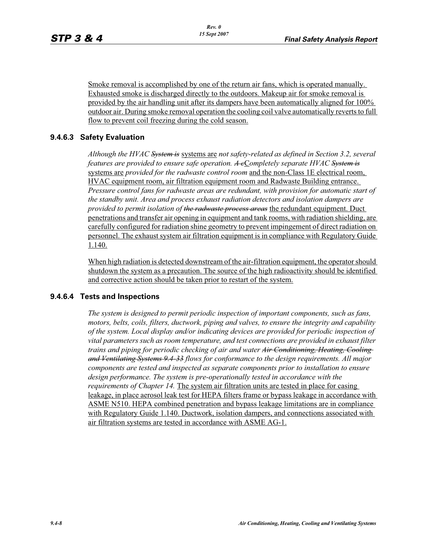Smoke removal is accomplished by one of the return air fans, which is operated manually. Exhausted smoke is discharged directly to the outdoors. Makeup air for smoke removal is provided by the air handling unit after its dampers have been automatically aligned for 100% outdoor air. During smoke removal operation the cooling coil valve automatically reverts to full flow to prevent coil freezing during the cold season.

## **9.4.6.3 Safety Evaluation**

*Although the HVAC System is* systems are *not safety-related as defined in Section 3.2, several features are provided to ensure safe operation. A c*C*ompletely separate HVAC System is* systems are *provided for the radwaste control room* and the non-Class 1E electrical room, HVAC equipment room, air filtration equipment room and Radwaste Building entrance. *Pressure control fans for radwaste areas are redundant, with provision for automatic start of the standby unit. Area and process exhaust radiation detectors and isolation dampers are provided to permit isolation of the radwaste process areas* the redundant equipment. Duct penetrations and transfer air opening in equipment and tank rooms, with radiation shielding, are carefully configured for radiation shine geometry to prevent impingement of direct radiation on personnel. The exhaust system air filtration equipment is in compliance with Regulatory Guide 1.140.

When high radiation is detected downstream of the air-filtration equipment, the operator should shutdown the system as a precaution. The source of the high radioactivity should be identified and corrective action should be taken prior to restart of the system.

## **9.4.6.4 Tests and Inspections**

*The system is designed to permit periodic inspection of important components, such as fans, motors, belts, coils, filters, ductwork, piping and valves, to ensure the integrity and capability of the system. Local display and/or indicating devices are provided for periodic inspection of vital parameters such as room temperature, and test connections are provided in exhaust filter trains and piping for periodic checking of air and water Air Conditioning, Heating, Cooling and Ventilating Systems 9.4-33 flows for conformance to the design requirements. All major components are tested and inspected as separate components prior to installation to ensure design performance. The system is pre-operationally tested in accordance with the requirements of Chapter 14.* The system air filtration units are tested in place for casing leakage, in place aerosol leak test for HEPA filters frame or bypass leakage in accordance with ASME N510. HEPA combined penetration and bypass leakage limitations are in compliance with Regulatory Guide 1.140. Ductwork, isolation dampers, and connections associated with air filtration systems are tested in accordance with ASME AG-1.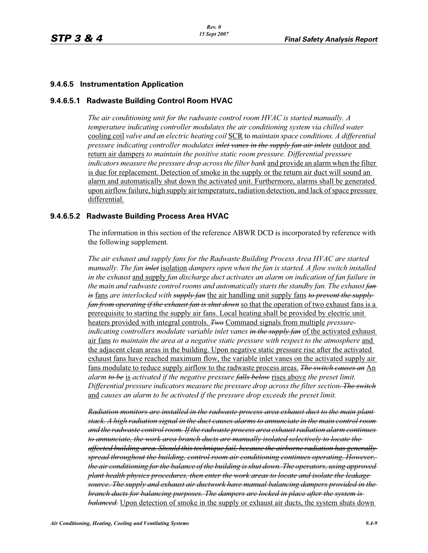### **9.4.6.5 Instrumentation Application**

#### **9.4.6.5.1 Radwaste Building Control Room HVAC**

*The air conditioning unit for the radwaste control room HVAC is started manually. A temperature indicating controller modulates the air conditioning system via chilled water*  cooling coil *valve and an electric heating coil* SCR to *maintain space conditions. A differential pressure indicating controller modulates inlet vanes in the supply fan air inlets* outdoor and return air dampers *to maintain the positive static room pressure. Differential pressure indicators measure the pressure drop across the filter bank* and provide an alarm when the filter is due for replacement. Detection of smoke in the supply or the return air duct will sound an alarm and automatically shut down the activated unit. Furthermore, alarms shall be generated upon airflow failure, high supply air temperature, radiation detection, and lack of space pressure differential.

#### **9.4.6.5.2 Radwaste Building Process Area HVAC**

The information in this section of the reference ABWR DCD is incorporated by reference with the following supplement.

*The air exhaust and supply fans for the Radwaste Building Process Area HVAC are started manually. The fan inlet* isolation *dampers open when the fan is started. A flow switch installed in the exhaust* and supply *fan discharge duct activates an alarm on indication of fan failure in the main and radwaste control rooms and automatically starts the standby fan. The exhaust fan is* fans *are interlocked with supply fan* the air handling unit supply fans *to prevent the supply fan from operating if the exhaust fan is shut down* so that the operation of two exhaust fans is a prerequisite to starting the supply air fans. Local heating shall be provided by electric unit heaters provided with integral controls. *Two* Command signals from multiple *pressureindicating controllers modulate variable inlet vanes in the supply fan* of the activated exhaust air fans *to maintain the area at a negative static pressure with respect to the atmosphere* and the adjacent clean areas in the building. Upon negative static pressure rise after the activated exhaust fans have reached maximum flow, the variable inlet vanes on the activated supply air fans modulate to reduce supply airflow to the radwaste process areas. *The switch causes an* An *alarm to be* is *activated if the negative pressure falls below* rises above *the preset limit. Differential pressure indicators measure the pressure drop across the filter section. The switch* and *causes an alarm to be activated if the pressure drop exceeds the preset limit.*

*Radiation monitors are installed in the radwaste process area exhaust duct to the main plant stack. A high radiation signal in the duct causes alarms to annunciate in the main control room and the radwaste control room. If the radwaste process area exhaust radiation alarm continues to annunciate, the work area branch ducts are manually isolated selectively to locate the affected building area. Should this technique fail, because the airborne radiation has generally spread throughout the building, control room air conditioning continues operating. However, the air conditioning for the balance of the building is shut down. The operators, using approved plant health physics procedures, then enter the work areas to locate and isolate the leakage source. The supply and exhaust air ductwork have manual balancing dampers provided in the branch ducts for balancing purposes. The dampers are locked in place after the system is balanced.* Upon detection of smoke in the supply or exhaust air ducts, the system shuts down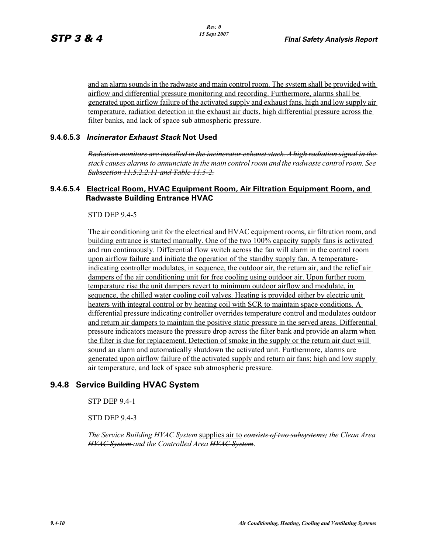and an alarm sounds in the radwaste and main control room. The system shall be provided with airflow and differential pressure monitoring and recording. Furthermore, alarms shall be generated upon airflow failure of the activated supply and exhaust fans, high and low supply air temperature, radiation detection in the exhaust air ducts, high differential pressure across the filter banks, and lack of space sub atmospheric pressure.

#### **9.4.6.5.3** *Incinerator Exhaust Stack* **Not Used**

*Radiation monitors are installed in the incinerator exhaust stack. A high radiation signal in the stack causes alarms to annunciate in the main control room and the radwaste control room. See Subsection 11.5.2.2.11 and Table 11.5-2.*

### **9.4.6.5.4 Electrical Room, HVAC Equipment Room, Air Filtration Equipment Room, and Radwaste Building Entrance HVAC**

STD DEP 9.4-5

The air conditioning unit for the electrical and HVAC equipment rooms, air filtration room, and building entrance is started manually. One of the two 100% capacity supply fans is activated and run continuously. Differential flow switch across the fan will alarm in the control room upon airflow failure and initiate the operation of the standby supply fan. A temperatureindicating controller modulates, in sequence, the outdoor air, the return air, and the relief air dampers of the air conditioning unit for free cooling using outdoor air. Upon further room temperature rise the unit dampers revert to minimum outdoor airflow and modulate, in sequence, the chilled water cooling coil valves. Heating is provided either by electric unit heaters with integral control or by heating coil with SCR to maintain space conditions. A differential pressure indicating controller overrides temperature control and modulates outdoor and return air dampers to maintain the positive static pressure in the served areas. Differential pressure indicators measure the pressure drop across the filter bank and provide an alarm when the filter is due for replacement. Detection of smoke in the supply or the return air duct will sound an alarm and automatically shutdown the activated unit. Furthermore, alarms are generated upon airflow failure of the activated supply and return air fans; high and low supply air temperature, and lack of space sub atmospheric pressure.

## **9.4.8 Service Building HVAC System**

STP DEP 9.4-1

STD DEP 9.4-3

*The Service Building HVAC System* supplies air to *consists of two subsystems; the Clean Area HVAC System and the Controlled Area HVAC System*.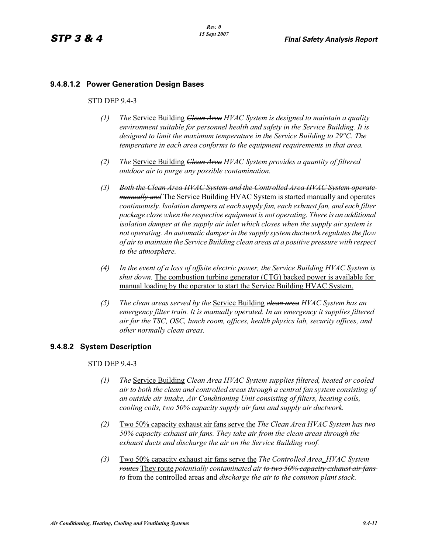### **9.4.8.1.2 Power Generation Design Bases**

#### STD DEP 9.4-3

- *(1) The* Service Building *Clean Area HVAC System is designed to maintain a quality environment suitable for personnel health and safety in the Service Building. It is designed to limit the maximum temperature in the Service Building to 29°C. The temperature in each area conforms to the equipment requirements in that area.*
- *(2) The* Service Building *Clean Area HVAC System provides a quantity of filtered outdoor air to purge any possible contamination.*
- *(3) Both the Clean Area HVAC System and the Controlled Area HVAC System operate manually and* The Service Building HVAC System is started manually and operates *continuously. Isolation dampers at each supply fan, each exhaust fan, and each filter package close when the respective equipment is not operating. There is an additional isolation damper at the supply air inlet which closes when the supply air system is not operating. An automatic damper in the supply system ductwork regulates the flow of air to maintain the Service Building clean areas at a positive pressure with respect to the atmosphere.*
- *(4) In the event of a loss of offsite electric power, the Service Building HVAC System is shut down.* The combustion turbine generator (CTG) backed power is available for manual loading by the operator to start the Service Building HVAC System.
- *(5) The clean areas served by the* Service Building *clean area HVAC System has an emergency filter train. It is manually operated. In an emergency it supplies filtered air for the TSC, OSC, lunch room, offices, health physics lab, security offices, and other normally clean areas.*

#### **9.4.8.2 System Description**

#### STD DEP 9.4-3

- *(1) The* Service Building *Clean Area HVAC System supplies filtered, heated or cooled air to both the clean and controlled areas through a central fan system consisting of an outside air intake, Air Conditioning Unit consisting of filters, heating coils, cooling coils, two 50% capacity supply air fans and supply air ductwork.*
- *(2)* Two 50% capacity exhaust air fans serve the *The Clean Area HVAC System has two 50% capacity exhaust air fans. They take air from the clean areas through the exhaust ducts and discharge the air on the Service Building roof.*
- *(3)* Two 50% capacity exhaust air fans serve the *The Controlled Area*. *HVAC System routes* They route *potentially contaminated air to two 50% capacity exhaust air fans to* from the controlled areas and *discharge the air to the common plant stack*.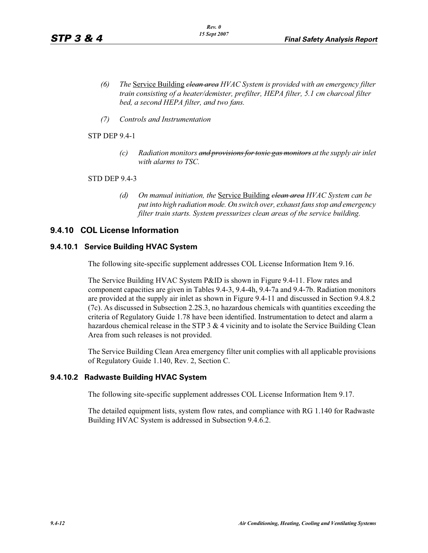- *(6) The* Service Building *clean area HVAC System is provided with an emergency filter train consisting of a heater/demister, prefilter, HEPA filter, 5.1 cm charcoal filter bed, a second HEPA filter, and two fans.*
- *(7) Controls and Instrumentation*

#### STP DEP 9.4-1

*(c) Radiation monitors and provisions for toxic gas monitors at the supply air inlet with alarms to TSC.*

#### STD DEP 9.4-3

*(d) On manual initiation, the* Service Building *clean area HVAC System can be put into high radiation mode. On switch over, exhaust fans stop and emergency filter train starts. System pressurizes clean areas of the service building.*

## **9.4.10 COL License Information**

#### **9.4.10.1 Service Building HVAC System**

The following site-specific supplement addresses COL License Information Item 9.16.

The Service Building HVAC System P&ID is shown in Figure 9.4-11. Flow rates and component capacities are given in Tables 9.4-3, 9.4-4h, 9.4-7a and 9.4-7b. Radiation monitors are provided at the supply air inlet as shown in Figure 9.4-11 and discussed in Section 9.4.8.2 (7c). As discussed in Subsection 2.2S.3, no hazardous chemicals with quantities exceeding the criteria of Regulatory Guide 1.78 have been identified. Instrumentation to detect and alarm a hazardous chemical release in the STP 3 & 4 vicinity and to isolate the Service Building Clean Area from such releases is not provided.

The Service Building Clean Area emergency filter unit complies with all applicable provisions of Regulatory Guide 1.140, Rev. 2, Section C.

#### **9.4.10.2 Radwaste Building HVAC System**

The following site-specific supplement addresses COL License Information Item 9.17.

The detailed equipment lists, system flow rates, and compliance with RG 1.140 for Radwaste Building HVAC System is addressed in Subsection 9.4.6.2.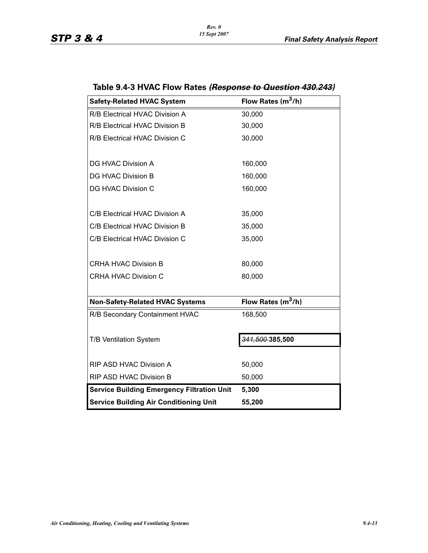| <b>Safety-Related HVAC System</b>                 | Flow Rates $(m^3/h)$ |
|---------------------------------------------------|----------------------|
| R/B Electrical HVAC Division A                    | 30,000               |
| R/B Electrical HVAC Division B                    | 30,000               |
| R/B Electrical HVAC Division C                    | 30,000               |
|                                                   |                      |
| <b>DG HVAC Division A</b>                         | 160,000              |
| <b>DG HVAC Division B</b>                         | 160,000              |
| <b>DG HVAC Division C</b>                         | 160,000              |
|                                                   |                      |
| C/B Electrical HVAC Division A                    | 35,000               |
| C/B Electrical HVAC Division B                    | 35,000               |
| C/B Electrical HVAC Division C                    | 35,000               |
|                                                   |                      |
| <b>CRHA HVAC Division B</b>                       | 80,000               |
| <b>CRHA HVAC Division C</b>                       | 80,000               |
|                                                   |                      |
| <b>Non-Safety-Related HVAC Systems</b>            | Flow Rates $(m^3/h)$ |
| R/B Secondary Containment HVAC                    | 168,500              |
|                                                   |                      |
| T/B Ventilation System                            | 341,500 385,500      |
|                                                   |                      |
| RIP ASD HVAC Division A                           | 50,000               |
| RIP ASD HVAC Division B                           | 50,000               |
| <b>Service Building Emergency Filtration Unit</b> | 5,300                |
| <b>Service Building Air Conditioning Unit</b>     | 55,200               |

# **Table 9.4-3 HVAC Flow Rates** *(Response to Question 430.243)*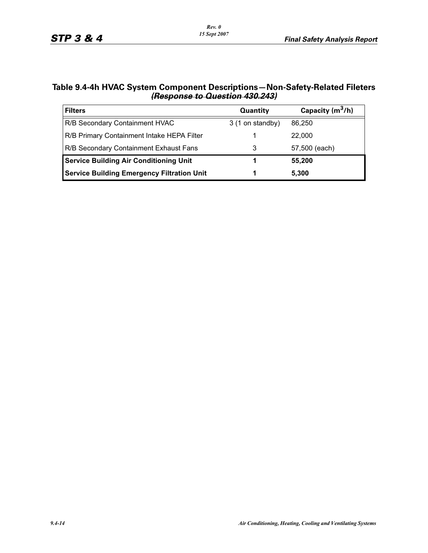| Table 9.4-4h HVAC System Component Descriptions—Non-Safety-Related Fileters |
|-----------------------------------------------------------------------------|
| (Response to Question 430.243)                                              |

| <b>Filters</b>                                    | <b>Quantity</b>  | Capacity $(m^3/h)$ |
|---------------------------------------------------|------------------|--------------------|
| R/B Secondary Containment HVAC                    | 3 (1 on standby) | 86.250             |
| R/B Primary Containment Intake HEPA Filter        |                  | 22,000             |
| R/B Secondary Containment Exhaust Fans            |                  | 57,500 (each)      |
| <b>Service Building Air Conditioning Unit</b>     |                  | 55,200             |
| <b>Service Building Emergency Filtration Unit</b> |                  | 5,300              |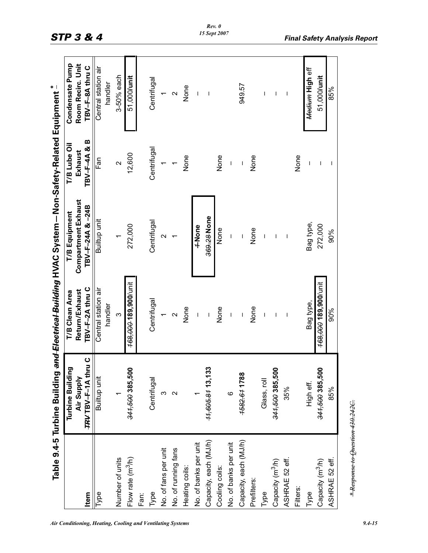|                                 | Table 9.4-5 Turbine Building   |                                                                                                                                                                                                                                                                                                                                                                                  | and Electrical Building HVAC System - Non-Safety-Related Equipment $\tilde{\vphantom{a}}^*$ |                          |                                      |  |
|---------------------------------|--------------------------------|----------------------------------------------------------------------------------------------------------------------------------------------------------------------------------------------------------------------------------------------------------------------------------------------------------------------------------------------------------------------------------|---------------------------------------------------------------------------------------------|--------------------------|--------------------------------------|--|
|                                 | Turbine Building<br>Air Supply | Return/Exhaust<br><b>T/B Clean Area</b>                                                                                                                                                                                                                                                                                                                                          | Compartment Exhaust<br>T/B Equipment                                                        | T/B Lube Oil<br>Exhaust  | Condensate Pump<br>Room Recirc. Unit |  |
| <b>Item</b>                     | TRV TBV-F-1A thru C            | TBV-F-2A thru C                                                                                                                                                                                                                                                                                                                                                                  | TBV-F-24A & -24B                                                                            | TBV-F-4A&B               | TBV-F-8A thru C                      |  |
| Type                            | Builtup unit                   | Central station air<br>handler                                                                                                                                                                                                                                                                                                                                                   | Builtup unit                                                                                | ເສັ້<br>Fan              | Central station air<br>handler       |  |
| Number of units                 |                                | $\infty$                                                                                                                                                                                                                                                                                                                                                                         |                                                                                             | $\sim$                   | 3-50% each                           |  |
| Flow rate $(m^3/h)$             | 341,500 385,500                | 168,000 189,900/unit                                                                                                                                                                                                                                                                                                                                                             | 272,000                                                                                     | 12,600                   | 51,000/unit                          |  |
| Fan:                            |                                |                                                                                                                                                                                                                                                                                                                                                                                  |                                                                                             |                          |                                      |  |
| Type                            | Centrifugal                    | Centrifugal                                                                                                                                                                                                                                                                                                                                                                      | Centrifugal                                                                                 | Centrifugal              | Centrifugal                          |  |
| No. of fans per unit            | ω                              |                                                                                                                                                                                                                                                                                                                                                                                  | $\sim$ $\sim$                                                                               |                          |                                      |  |
| No. of running fans             | $\mathbf{\Omega}$              | $\sim$                                                                                                                                                                                                                                                                                                                                                                           |                                                                                             |                          | $\sim$                               |  |
| Heating coils:                  |                                | None                                                                                                                                                                                                                                                                                                                                                                             |                                                                                             | None                     | None                                 |  |
| No. of banks per unit           |                                | $\overline{1}$                                                                                                                                                                                                                                                                                                                                                                   | 1 None                                                                                      |                          | $\overline{1}$                       |  |
| Capacity, each (MJ/h)           | 11,605.81 13,133               | $\begin{array}{c} \rule{0pt}{2.5ex} \rule{0pt}{2.5ex} \rule{0pt}{2.5ex} \rule{0pt}{2.5ex} \rule{0pt}{2.5ex} \rule{0pt}{2.5ex} \rule{0pt}{2.5ex} \rule{0pt}{2.5ex} \rule{0pt}{2.5ex} \rule{0pt}{2.5ex} \rule{0pt}{2.5ex} \rule{0pt}{2.5ex} \rule{0pt}{2.5ex} \rule{0pt}{2.5ex} \rule{0pt}{2.5ex} \rule{0pt}{2.5ex} \rule{0pt}{2.5ex} \rule{0pt}{2.5ex} \rule{0pt}{2.5ex} \rule{0$ | 369.28 None                                                                                 |                          | $\overline{\phantom{a}}$             |  |
| Cooling coils:                  |                                | None                                                                                                                                                                                                                                                                                                                                                                             | None                                                                                        | None                     |                                      |  |
| No. of banks per unit           | $\circ$                        | $\overline{1}$                                                                                                                                                                                                                                                                                                                                                                   | $\overline{1}$                                                                              | $\bar{\mathbf{l}}$       |                                      |  |
| Capacity, each (MJ/h)           | 1582.61 1788                   | $\overline{1}$                                                                                                                                                                                                                                                                                                                                                                   | $\overline{1}$                                                                              |                          | 949.57                               |  |
| Prefilters:                     |                                | None                                                                                                                                                                                                                                                                                                                                                                             | None                                                                                        | None                     |                                      |  |
| Type                            | Glass, roll                    | $\overline{1}$                                                                                                                                                                                                                                                                                                                                                                   | $\overline{1}$                                                                              |                          | I                                    |  |
| Capacity (m <sup>3</sup> /h)    | 344,500 385,500                | $\overline{\phantom{a}}$                                                                                                                                                                                                                                                                                                                                                         | T                                                                                           |                          | $\overline{1}$                       |  |
| ASHRAE 52 eff.                  | 35%                            |                                                                                                                                                                                                                                                                                                                                                                                  | $\overline{\phantom{a}}$                                                                    |                          | $\mathbf{I}$                         |  |
| Filters:                        |                                |                                                                                                                                                                                                                                                                                                                                                                                  |                                                                                             | None                     |                                      |  |
| Type                            | High eff.                      | Bag type,                                                                                                                                                                                                                                                                                                                                                                        | Bag type,                                                                                   |                          | Medium High eff                      |  |
| Capacity (m <sup>3</sup> /h)    | 344,500 385,500                | 168,000 189,900/unit                                                                                                                                                                                                                                                                                                                                                             | 272,000                                                                                     | $\overline{\phantom{a}}$ | 51,000/unit                          |  |
| ASHRAE 52 eff.                  | 85%                            | 90%                                                                                                                                                                                                                                                                                                                                                                              | 90%                                                                                         |                          | 85%                                  |  |
| *Response to Question 430.242C. |                                |                                                                                                                                                                                                                                                                                                                                                                                  |                                                                                             |                          |                                      |  |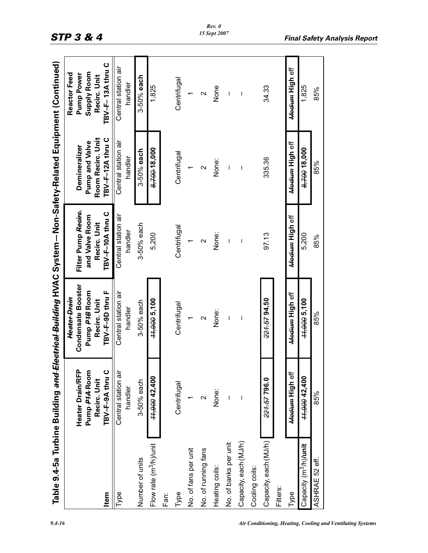|                                    |                                                                      | Table 9.4-5a Turbine Building <del>and Electrical Building</del> HVAC System – Non-Safety-Related Equipment (Continued) |                                                                           |                                                                                 |                                                                                      |
|------------------------------------|----------------------------------------------------------------------|-------------------------------------------------------------------------------------------------------------------------|---------------------------------------------------------------------------|---------------------------------------------------------------------------------|--------------------------------------------------------------------------------------|
| <b>Item</b>                        | Heater Drain/RFP<br>TBV-F-9A thru C<br>Pump P14-Room<br>Recirc. Unit | <b>Condensate Booster</b><br>Pump P4B Room<br>TBV-F-9D thru F<br>Heater Drain<br>Recirc. Unit                           | Filter Pump Recire.<br>TBV-F-10A thru C<br>and Valve Room<br>Recirc. Unit | Room Recirc. Unit<br>TBV-F-12A thru C<br><b>Pump and Valve</b><br>Demineralizer | TBV-F-13A thru C<br>Supply Room<br><b>Reactor Feed</b><br>Pump Power<br>Recirc. Unit |
| Type                               | Central station air<br>handler                                       | Central station air<br>handler                                                                                          | Central station air<br>handler                                            | Central station air<br>handler                                                  | Central station air<br>handler                                                       |
| Number of units                    | 3-50% each                                                           | 3-50% each                                                                                                              | 3-50% each                                                                | 3-50% each                                                                      | 3-50% each                                                                           |
| Flow rate (m <sup>3</sup> /h)/unit | 11,900 42,400                                                        | 11,900 5,100                                                                                                            | 5,200                                                                     | 8,700 18,000                                                                    | 1,825                                                                                |
| Fan:                               |                                                                      |                                                                                                                         |                                                                           |                                                                                 |                                                                                      |
| Type                               | Centrifugal                                                          | Centrifugal                                                                                                             | Centrifugal                                                               | Centrifugal                                                                     | Centrifugal                                                                          |
| No. of fans per unit               |                                                                      |                                                                                                                         |                                                                           |                                                                                 |                                                                                      |
| No. of running fans                | $\scriptstyle\mathtt{N}$                                             | $\mathbf 2$                                                                                                             | $\mathbf 2$                                                               | $\mathbf{\Omega}$                                                               | $\mathbf{\Omega}$                                                                    |
| Heating coils:                     | None:                                                                | None:                                                                                                                   | None:                                                                     | None:                                                                           | None                                                                                 |
| No. of banks per unit              | $\overline{\phantom{a}}$                                             | $\overline{\phantom{a}}$                                                                                                | $\overline{\phantom{a}}$                                                  | $\overline{\phantom{a}}$                                                        | I                                                                                    |
| Capacity, each (MJ/h)              | $\overline{1}$                                                       | $\overline{\phantom{a}}$                                                                                                | $\overline{\phantom{a}}$                                                  | $\overline{\phantom{a}}$                                                        | $\overline{\phantom{a}}$                                                             |
| Cooling coils:                     |                                                                      |                                                                                                                         |                                                                           |                                                                                 |                                                                                      |
| Capacity, each (MJ/h)              | 221.57796.0                                                          | 221.57 94.50                                                                                                            | 97.13                                                                     | 335.36                                                                          | 34.33                                                                                |
| Filters:                           |                                                                      |                                                                                                                         |                                                                           |                                                                                 |                                                                                      |
| Type                               | Medium High eff                                                      | <del>Medium</del> High eff                                                                                              | Medium High eff                                                           | Medium High eff                                                                 | <del>Medium</del> High eff                                                           |
| Capacity (m <sup>3</sup> /h)/unit  | 11,900 42,400                                                        | 44,900 5,100                                                                                                            | 5,200                                                                     | 8,700 18,000                                                                    | 1,825                                                                                |
| ASHRAE 52 eff.                     | 85%                                                                  | 85%                                                                                                                     | 85%                                                                       | 85%                                                                             | 85%                                                                                  |
|                                    |                                                                      |                                                                                                                         |                                                                           |                                                                                 |                                                                                      |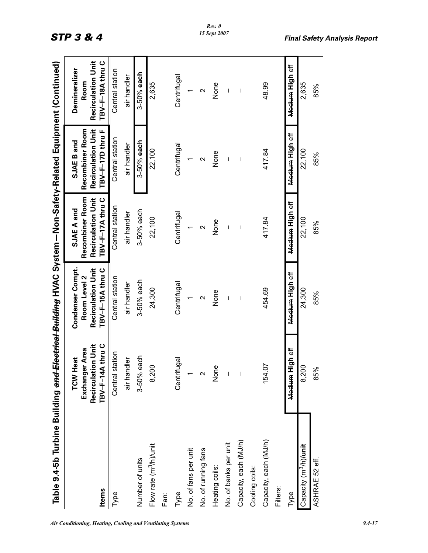|                                    |                                                                                    |                                                                                   | Table 9.4-5b Turbine Building <del>and Electrical Building</del> HVAC System – Non-Safety-Related Equipment (Continued) |                                                                                                                                                                                                                                                                                                                                                                                  |                                                                        |
|------------------------------------|------------------------------------------------------------------------------------|-----------------------------------------------------------------------------------|-------------------------------------------------------------------------------------------------------------------------|----------------------------------------------------------------------------------------------------------------------------------------------------------------------------------------------------------------------------------------------------------------------------------------------------------------------------------------------------------------------------------|------------------------------------------------------------------------|
| <b>Items</b>                       | <b>Recirculation Unit</b><br>TBV-F-14A thru C<br>Exchanger Area<br><b>TCW Heat</b> | <b>Recirculation Unit</b><br>Condenser Compt.<br>TBV-F-15A thru C<br>Room Level 2 | Recombiner Room<br><b>Recirculation Unit</b><br>TBV-F-17A thru C<br>SJAE A and                                          | <b>Recombiner Room</b><br><b>Recirculation Unit</b><br>TBV-F-17D thru F<br>SJAE B and                                                                                                                                                                                                                                                                                            | <b>Recirculation Unit</b><br>TBV-F-18A thru C<br>Demineralizer<br>Room |
| Type                               | Central station                                                                    | Central station                                                                   | Central station                                                                                                         | Central station                                                                                                                                                                                                                                                                                                                                                                  | Central station                                                        |
|                                    | air handler                                                                        | air handler                                                                       | air handler                                                                                                             | air handler                                                                                                                                                                                                                                                                                                                                                                      | air handler                                                            |
| Number of units                    | 3-50% each                                                                         | 3-50% each                                                                        | 3-50% each                                                                                                              | 3-50% each                                                                                                                                                                                                                                                                                                                                                                       | 3-50% each                                                             |
| Flow rate (m <sup>3</sup> /h)/unit | 8,200                                                                              | 24,300                                                                            | 22,100                                                                                                                  | 22,100                                                                                                                                                                                                                                                                                                                                                                           | 2,635                                                                  |
| Fan:                               |                                                                                    |                                                                                   |                                                                                                                         |                                                                                                                                                                                                                                                                                                                                                                                  |                                                                        |
| Type                               | Centrifugal                                                                        | Centrifugal                                                                       | Centrifugal                                                                                                             | Centrifugal                                                                                                                                                                                                                                                                                                                                                                      | Centrifugal                                                            |
| No. of fans per unit               |                                                                                    | $\overline{ }$                                                                    |                                                                                                                         |                                                                                                                                                                                                                                                                                                                                                                                  |                                                                        |
| No. of running fans                | $\mathbf{\Omega}$                                                                  | Ν                                                                                 | $\mathbf{\sim}$                                                                                                         | $\mathbf{\Omega}$                                                                                                                                                                                                                                                                                                                                                                | $\mathbf{\sim}$                                                        |
| Heating coils:                     | None                                                                               | None                                                                              | None                                                                                                                    | None                                                                                                                                                                                                                                                                                                                                                                             | None                                                                   |
| No. of banks per unit              | $\overline{1}$                                                                     | $\overline{\phantom{a}}$                                                          | $\overline{\phantom{a}}$                                                                                                | $\begin{array}{c} \rule{0pt}{2.5ex} \rule{0pt}{2.5ex} \rule{0pt}{2.5ex} \rule{0pt}{2.5ex} \rule{0pt}{2.5ex} \rule{0pt}{2.5ex} \rule{0pt}{2.5ex} \rule{0pt}{2.5ex} \rule{0pt}{2.5ex} \rule{0pt}{2.5ex} \rule{0pt}{2.5ex} \rule{0pt}{2.5ex} \rule{0pt}{2.5ex} \rule{0pt}{2.5ex} \rule{0pt}{2.5ex} \rule{0pt}{2.5ex} \rule{0pt}{2.5ex} \rule{0pt}{2.5ex} \rule{0pt}{2.5ex} \rule{0$ | T                                                                      |
| Capacity, each (MJ/h)              | $\overline{\phantom{a}}$                                                           | $\overline{\phantom{a}}$                                                          | $\overline{\phantom{a}}$                                                                                                | $\overline{1}$                                                                                                                                                                                                                                                                                                                                                                   | $\overline{\phantom{a}}$                                               |
| Cooling coils:                     |                                                                                    |                                                                                   |                                                                                                                         |                                                                                                                                                                                                                                                                                                                                                                                  |                                                                        |
| Capacity, each (MJ/h)              | 154.07                                                                             | 454.69                                                                            | 417.84                                                                                                                  | 417.84                                                                                                                                                                                                                                                                                                                                                                           | 48.99                                                                  |
| Filters:                           |                                                                                    |                                                                                   |                                                                                                                         |                                                                                                                                                                                                                                                                                                                                                                                  |                                                                        |
| Type                               | Medium High eff                                                                    | Medium High eff                                                                   | Medium High eff                                                                                                         | Medium High eff                                                                                                                                                                                                                                                                                                                                                                  | Medium High eff                                                        |
| Capacity (m <sup>3</sup> /h)/unit  | 8,200                                                                              | 24,300                                                                            | 22,100                                                                                                                  | 22,100                                                                                                                                                                                                                                                                                                                                                                           | 2,635                                                                  |
| ASHRAE 52 eff.                     | 85%                                                                                | 85%                                                                               | 85%                                                                                                                     | 85%                                                                                                                                                                                                                                                                                                                                                                              | 85%                                                                    |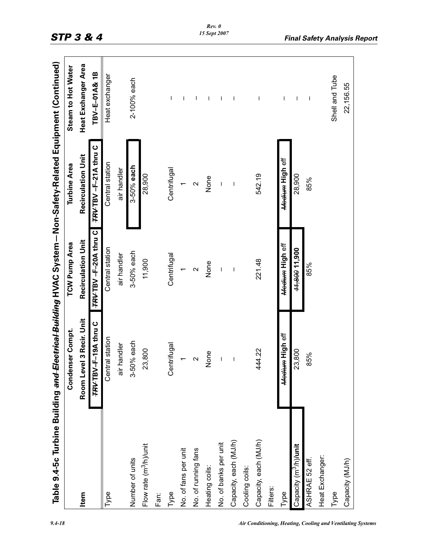|                                   | Table 9.4-5c Turbine Building <del>and Electrical Building</del> HVAC System – Non-Safety-Related Equipment (Continued) |                           |                           |                     |
|-----------------------------------|-------------------------------------------------------------------------------------------------------------------------|---------------------------|---------------------------|---------------------|
|                                   | Condenser Compt.                                                                                                        | <b>TCW Pump Area</b>      | <b>Turbine Area</b>       | Steam to Hot Water  |
| Item                              | Room Level 3 Recir. Unit                                                                                                | <b>Recirculation Unit</b> | <b>Recirculation Unit</b> | Heat Exchanger Area |
|                                   | TRV-F-19A thru C                                                                                                        | TRV-TBV-F-20A thru C      | TRVTBV-F-21A thru C       | TBV-E-01A& 1B       |
| Type                              | Central station                                                                                                         | Central station           | Central station           | Heat exchanger      |
|                                   | air handler                                                                                                             | air handler               | air handler               |                     |
| Number of units                   | 3-50% each                                                                                                              | 3-50% each                | 3-50% each                | 2-100% each         |
| Flow rate $(m^3/h)/$ unit         | 23,800                                                                                                                  | 11,900                    | 28,900                    |                     |
| Fan:                              |                                                                                                                         |                           |                           |                     |
| Type                              | Centrifugal                                                                                                             | Centrifugal               | Centrifugal               | T                   |
| No. of fans per unit              |                                                                                                                         | $\overline{\phantom{0}}$  |                           | T                   |
| No. of running fans               | $\mathbf{\Omega}$                                                                                                       | $\mathbf{\Omega}$         | $\mathbf{\Omega}$         | ı                   |
| Heating coils:                    | None                                                                                                                    | None                      | None                      | -1                  |
| No. of banks per unit             | $\overline{\phantom{a}}$                                                                                                | $\overline{\phantom{a}}$  | I                         | 1                   |
| Capacity, each (MJ/h)             | $\overline{1}$                                                                                                          | $\overline{\phantom{a}}$  | $\overline{\phantom{a}}$  | I                   |
| Cooling coils:                    |                                                                                                                         |                           |                           |                     |
| Capacity, each (MJ/h)             | 444.22                                                                                                                  | 221.48                    | 542.19                    | I                   |
| Filters:                          |                                                                                                                         |                           |                           |                     |
| Type                              | Medium High eff                                                                                                         | Medium High eff           | Medium High eff           | T                   |
| Capacity (m <sup>3</sup> /h)/unit | 23,800                                                                                                                  | 11,800 11,900             | 28,900                    | T                   |
| ASHRAE 52 eff.                    | 85%                                                                                                                     | 85%                       | 85%                       | $\mathsf{l}$        |
| Heat Exchanger:                   |                                                                                                                         |                           |                           |                     |
| Type                              |                                                                                                                         |                           |                           | Shell and Tube      |
| Capacity (MJ/h)                   |                                                                                                                         |                           |                           | 22,156.55           |
|                                   |                                                                                                                         |                           |                           |                     |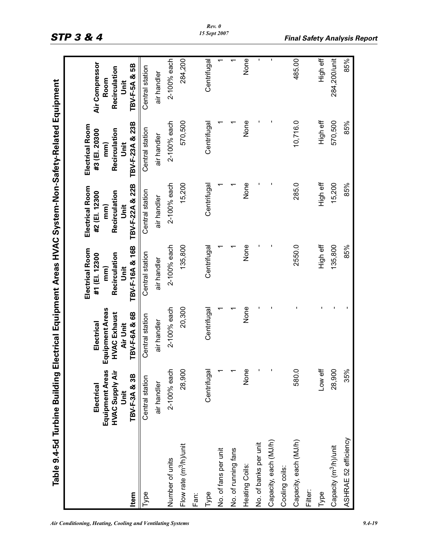| ı                              |
|--------------------------------|
|                                |
|                                |
|                                |
|                                |
|                                |
|                                |
|                                |
|                                |
|                                |
|                                |
|                                |
|                                |
|                                |
|                                |
|                                |
|                                |
|                                |
|                                |
|                                |
| $\mathbf$                      |
|                                |
|                                |
|                                |
| I                              |
|                                |
|                                |
|                                |
|                                |
|                                |
|                                |
| ì                              |
|                                |
|                                |
|                                |
|                                |
|                                |
|                                |
|                                |
|                                |
|                                |
|                                |
|                                |
|                                |
|                                |
| l                              |
|                                |
| )                              |
| E                              |
|                                |
| l                              |
| j<br>٠                         |
| m<br>ı                         |
| l<br>¢                         |
| í<br>ׇ֓֕֜                      |
| Í                              |
| ŀ<br>j                         |
| Ï                              |
| l                              |
| 1                              |
| ņ<br>l                         |
| ₹<br>J<br>ŗ                    |
| თ                              |
| ¢                              |
|                                |
| ż<br>$\overline{\mathfrak{a}}$ |

| Item                               | Equipment Areas<br>HVAC Supply Air<br>TBV-F-3A & 3B<br>Electrical<br>Unit | Equipment Areas<br>TBV-F-6A & 6B<br><b>HVAC Exhaust</b><br>Electrical<br>Air Unit | TBV-F-16A & 16B<br>Electrical Room<br>Recirculation<br>#1 (EI. 12300<br>mm<br>j<br>Jnit | TBV-F-22A & 22B<br>Electrical Room<br>Recirculation<br>#2 (EI. 12300<br>Jnit<br>$\overline{mn}$ | TBV-F-23A & 23B<br>Electrical Room<br>Recirculation<br>#3 (EI. 20300<br>Jnit<br>$\mathsf{mm}$ | Air Compressor<br>TBV-F-5A & 5B<br>Recirculation<br>Room<br><b>Jnit</b> |
|------------------------------------|---------------------------------------------------------------------------|-----------------------------------------------------------------------------------|-----------------------------------------------------------------------------------------|-------------------------------------------------------------------------------------------------|-----------------------------------------------------------------------------------------------|-------------------------------------------------------------------------|
| Type                               | Central station                                                           | Central station                                                                   | Central station                                                                         | Central station                                                                                 | Central station                                                                               | Central station                                                         |
|                                    | air handler                                                               | air handler                                                                       | air handler                                                                             | air handler                                                                                     | air handler                                                                                   | air handler                                                             |
| Number of units                    | 2-100% each                                                               | 2-100% each                                                                       | 2-100% each                                                                             | 2-100% each                                                                                     | 2-100% each                                                                                   | 2-100% each                                                             |
| Flow rate (m <sup>3</sup> /h)/unit | 28,900                                                                    | 20,300                                                                            | 135,800                                                                                 | 15,200                                                                                          | 570,500                                                                                       | 284,200                                                                 |
| Fan:                               |                                                                           |                                                                                   |                                                                                         |                                                                                                 |                                                                                               |                                                                         |
| Type                               | Centrifugal                                                               | Centrifugal                                                                       | Centrifugal                                                                             | Centrifugal                                                                                     | Centrifugal                                                                                   | Centrifugal                                                             |
| No. of fans per unit               |                                                                           |                                                                                   |                                                                                         |                                                                                                 |                                                                                               |                                                                         |
| No. of running fans                |                                                                           |                                                                                   |                                                                                         |                                                                                                 |                                                                                               |                                                                         |
| Heating Coils:                     | None                                                                      | None                                                                              | None                                                                                    | None                                                                                            | None                                                                                          | <b>None</b>                                                             |
| No. of banks per unit              | ï                                                                         |                                                                                   |                                                                                         |                                                                                                 |                                                                                               | I.                                                                      |
| Capacity, each (MJ/h)              |                                                                           |                                                                                   |                                                                                         |                                                                                                 |                                                                                               | ×,                                                                      |
| Cooling coils:                     |                                                                           |                                                                                   |                                                                                         |                                                                                                 |                                                                                               |                                                                         |
| Capacity, each (MJ/h)              | 580.0                                                                     |                                                                                   | 2550.0                                                                                  | 285.0                                                                                           | 10,716.0                                                                                      | 485.00                                                                  |
| Filter:                            |                                                                           |                                                                                   |                                                                                         |                                                                                                 |                                                                                               |                                                                         |
| Туре                               | Low eff                                                                   |                                                                                   | High eff                                                                                | High eff                                                                                        | High eff                                                                                      | High eff                                                                |
| Capacity (m <sup>3</sup> /h)/unit  | 28,900                                                                    |                                                                                   | 135,800                                                                                 | 15,200                                                                                          | 570,500                                                                                       | 284,200/unit                                                            |
| ASHRAE 52 efficiency               | 35%                                                                       |                                                                                   | 85%                                                                                     | 85%                                                                                             | 85%                                                                                           | 85%                                                                     |
|                                    |                                                                           |                                                                                   |                                                                                         |                                                                                                 |                                                                                               |                                                                         |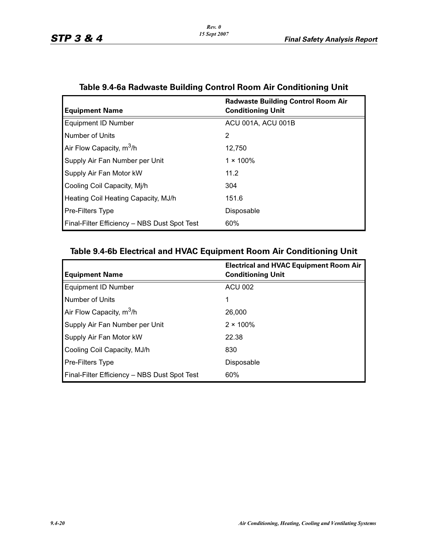| <b>Equipment Name</b>                        | <b>Radwaste Building Control Room Air</b><br><b>Conditioning Unit</b> |
|----------------------------------------------|-----------------------------------------------------------------------|
| <b>Equipment ID Number</b>                   | ACU 001A, ACU 001B                                                    |
| Number of Units                              | 2                                                                     |
| Air Flow Capacity, m <sup>3</sup> /h         | 12.750                                                                |
| Supply Air Fan Number per Unit               | $1 \times 100\%$                                                      |
| Supply Air Fan Motor kW                      | 11.2                                                                  |
| Cooling Coil Capacity, Mj/h                  | 304                                                                   |
| Heating Coil Heating Capacity, MJ/h          | 151.6                                                                 |
| Pre-Filters Type                             | Disposable                                                            |
| Final-Filter Efficiency - NBS Dust Spot Test | 60%                                                                   |

# **Table 9.4-6a Radwaste Building Control Room Air Conditioning Unit**

# **Table 9.4-6b Electrical and HVAC Equipment Room Air Conditioning Unit**

| <b>Equipment Name</b>                        | <b>Electrical and HVAC Equipment Room Air</b><br><b>Conditioning Unit</b> |
|----------------------------------------------|---------------------------------------------------------------------------|
| <b>Equipment ID Number</b>                   | <b>ACU 002</b>                                                            |
| Number of Units                              | 1                                                                         |
| Air Flow Capacity, m <sup>3</sup> /h         | 26,000                                                                    |
| Supply Air Fan Number per Unit               | $2 \times 100\%$                                                          |
| Supply Air Fan Motor kW                      | 22.38                                                                     |
| Cooling Coil Capacity, MJ/h                  | 830                                                                       |
| <b>Pre-Filters Type</b>                      | Disposable                                                                |
| Final-Filter Efficiency - NBS Dust Spot Test | 60%                                                                       |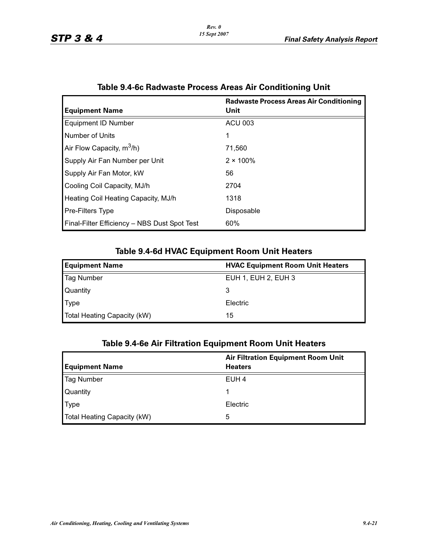|                                              | <b>Radwaste Process Areas Air Conditioning</b> |
|----------------------------------------------|------------------------------------------------|
| <b>Equipment Name</b>                        | Unit                                           |
| <b>Equipment ID Number</b>                   | <b>ACU 003</b>                                 |
| Number of Units                              |                                                |
| Air Flow Capacity, $m^3/h$ )                 | 71.560                                         |
| Supply Air Fan Number per Unit               | $2 \times 100\%$                               |
| Supply Air Fan Motor, kW                     | 56                                             |
| Cooling Coil Capacity, MJ/h                  | 2704                                           |
| Heating Coil Heating Capacity, MJ/h          | 1318                                           |
| <b>Pre-Filters Type</b>                      | Disposable                                     |
| Final-Filter Efficiency - NBS Dust Spot Test | 60%                                            |

## **Table 9.4-6c Radwaste Process Areas Air Conditioning Unit**

## **Table 9.4-6d HVAC Equipment Room Unit Heaters**

| <b>Equipment Name</b>       | <b>HVAC Equipment Room Unit Heaters</b> |  |  |
|-----------------------------|-----------------------------------------|--|--|
| <b>Tag Number</b>           | EUH 1, EUH 2, EUH 3                     |  |  |
| <b>Quantity</b>             | 3                                       |  |  |
| <b>Type</b>                 | Electric                                |  |  |
| Total Heating Capacity (kW) | 15                                      |  |  |

# **Table 9.4-6e Air Filtration Equipment Room Unit Heaters**

|                             | <b>Air Filtration Equipment Room Unit</b> |  |
|-----------------------------|-------------------------------------------|--|
| <b>Equipment Name</b>       | <b>Heaters</b>                            |  |
| <b>Tag Number</b>           | EUH <sub>4</sub>                          |  |
| Quantity                    |                                           |  |
| <b>Type</b>                 | Electric                                  |  |
| Total Heating Capacity (kW) | 5                                         |  |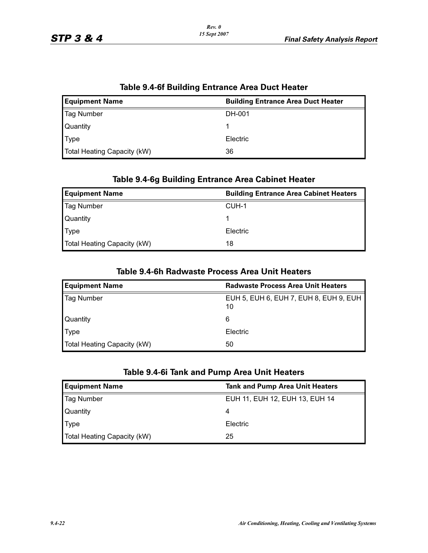| Table 9.4-of Building Entrance Area Duct Heater                    |          |  |  |  |
|--------------------------------------------------------------------|----------|--|--|--|
| <b>Equipment Name</b><br><b>Building Entrance Area Duct Heater</b> |          |  |  |  |
| Tag Number                                                         | DH-001   |  |  |  |
| Quantity                                                           |          |  |  |  |
| <b>Type</b>                                                        | Electric |  |  |  |
| Total Heating Capacity (kW)                                        | 36       |  |  |  |

# **Table 9.4-6f Building Entrance Area Duct Heater**

## **Table 9.4-6g Building Entrance Area Cabinet Heater**

| <b>Equipment Name</b>       | <b>Building Entrance Area Cabinet Heaters</b> |  |  |
|-----------------------------|-----------------------------------------------|--|--|
| <b>Tag Number</b>           | CUH-1                                         |  |  |
| Quantity                    |                                               |  |  |
| Type                        | Electric                                      |  |  |
| Total Heating Capacity (kW) | 18                                            |  |  |

## **Table 9.4-6h Radwaste Process Area Unit Heaters**

| <b>Equipment Name</b>       | <b>Radwaste Process Area Unit Heaters</b>    |
|-----------------------------|----------------------------------------------|
| <b>Tag Number</b>           | EUH 5, EUH 6, EUH 7, EUH 8, EUH 9, EUH<br>10 |
| Quantity                    | 6                                            |
| $\blacksquare$ Type         | Electric                                     |
| Total Heating Capacity (kW) | 50                                           |

## **Table 9.4-6i Tank and Pump Area Unit Heaters**

| <b>Equipment Name</b>       | <b>Tank and Pump Area Unit Heaters</b> |  |  |
|-----------------------------|----------------------------------------|--|--|
| <b>Tag Number</b>           | EUH 11, EUH 12, EUH 13, EUH 14         |  |  |
| Quantity                    | 4                                      |  |  |
| Type                        | Electric                               |  |  |
| Total Heating Capacity (kW) | 25                                     |  |  |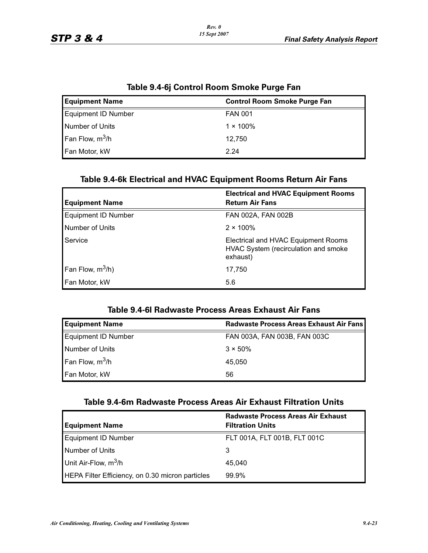| <u>ומאוס ראן די סיווייט וויסטווי שוויטג ו</u> |                                     |  |  |
|-----------------------------------------------|-------------------------------------|--|--|
| <b>Equipment Name</b>                         | <b>Control Room Smoke Purge Fan</b> |  |  |
| Equipment ID Number                           | <b>FAN 001</b>                      |  |  |
| Number of Units                               | $1 \times 100\%$                    |  |  |
| Fan Flow, $m^3/h$                             | 12.750                              |  |  |
| Fan Motor, kW                                 | 2.24                                |  |  |

## **Table 9.4-6j Control Room Smoke Purge Fan**

## **Table 9.4-6k Electrical and HVAC Equipment Rooms Return Air Fans**

| <b>Equipment Name</b> | <b>Electrical and HVAC Equipment Rooms</b><br><b>Return Air Fans</b>                    |  |
|-----------------------|-----------------------------------------------------------------------------------------|--|
| Equipment ID Number   | FAN 002A, FAN 002B                                                                      |  |
| Number of Units       | $2 \times 100\%$                                                                        |  |
| Service               | Electrical and HVAC Equipment Rooms<br>HVAC System (recirculation and smoke<br>exhaust) |  |
| Fan Flow, $m^3/h$ )   | 17,750                                                                                  |  |
| Fan Motor, kW         | 5.6                                                                                     |  |

## **Table 9.4-6l Radwaste Process Areas Exhaust Air Fans**

| <b>Equipment Name</b> | <b>Radwaste Process Areas Exhaust Air Fans</b> |
|-----------------------|------------------------------------------------|
| Equipment ID Number   | FAN 003A, FAN 003B, FAN 003C                   |
| Number of Units       | $3 \times 50\%$                                |
| Fan Flow, $m^3/h$     | 45.050                                         |
| Fan Motor, kW         | 56                                             |

# **Table 9.4-6m Radwaste Process Areas Air Exhaust Filtration Units**

| <b>Equipment Name</b>                            | <b>Radwaste Process Areas Air Exhaust</b><br><b>Filtration Units</b> |
|--------------------------------------------------|----------------------------------------------------------------------|
| <b>Equipment ID Number</b>                       | FLT 001A, FLT 001B, FLT 001C                                         |
| Number of Units                                  | З                                                                    |
| Unit Air-Flow, $m^3/h$                           | 45.040                                                               |
| HEPA Filter Efficiency, on 0.30 micron particles | $99.9\%$                                                             |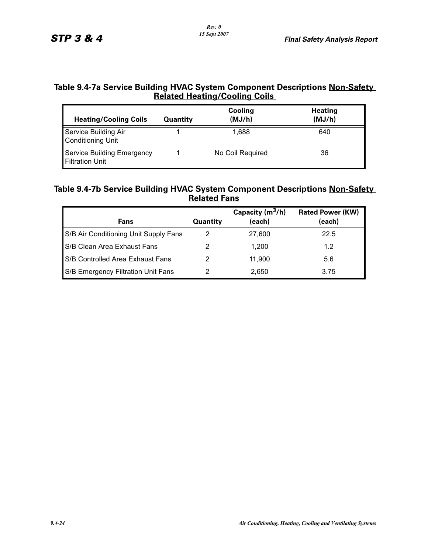## **Table 9.4-7a Service Building HVAC System Component Descriptions Non-Safety Related Heating/Cooling Coils**

| <b>Heating/Cooling Coils</b>                         | <b>Quantity</b> | Cooling<br>(MJ/h) | <b>Heating</b><br>(MJ/h) |
|------------------------------------------------------|-----------------|-------------------|--------------------------|
| Service Building Air<br><b>Conditioning Unit</b>     |                 | 1.688             | 640                      |
| Service Building Emergency<br><b>Filtration Unit</b> |                 | No Coil Required  | 36                       |

## **Table 9.4-7b Service Building HVAC System Component Descriptions Non-Safety Related Fans**

| Fans                                  | <b>Quantity</b> | Capacity $(m^3/h)$<br>(each) | <b>Rated Power (KW)</b><br>(each) |
|---------------------------------------|-----------------|------------------------------|-----------------------------------|
| S/B Air Conditioning Unit Supply Fans | 2               | 27,600                       | 22.5                              |
| S/B Clean Area Exhaust Fans           |                 | 1.200                        | 1.2                               |
| S/B Controlled Area Exhaust Fans      | 2               | 11.900                       | 5.6                               |
| S/B Emergency Filtration Unit Fans    | 2               | 2,650                        | 3.75                              |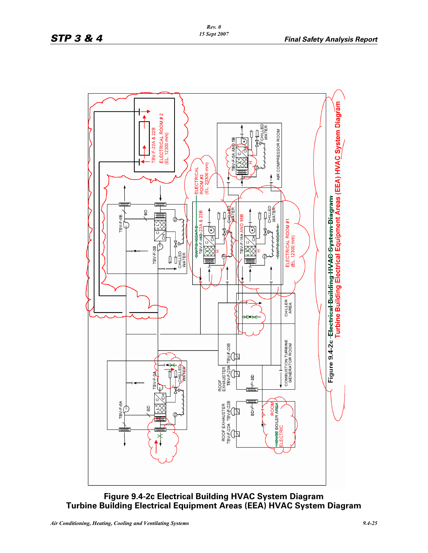

## **Figure 9.4-2c Electrical Building HVAC System Diagram Turbine Building Electrical Equipment Areas (EEA) HVAC System Diagram**